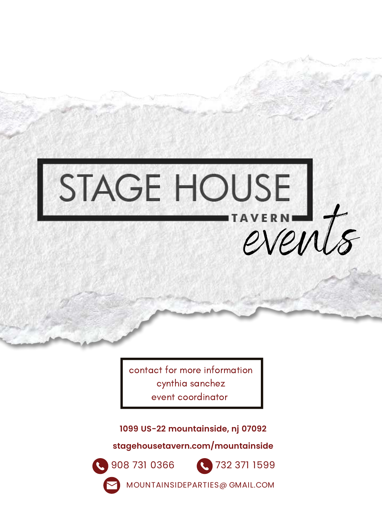# STAGE HOUSE AVERNIE

contact for more information cynthia sanchez event coordinator

**1099 US-22 mountainside, nj 07092**

**stagehousetavern.com/mountainside**





MOUNTAINSIDEPARTIES@ GMAIL.COM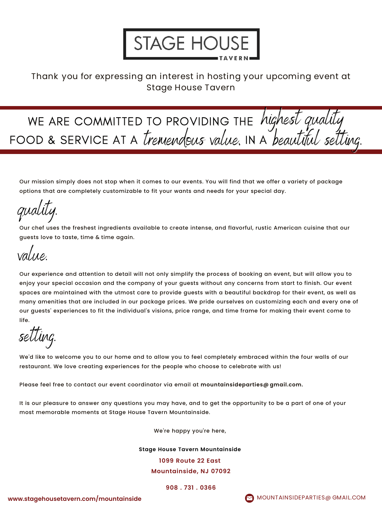

#### Thank you for expressing an interest in hosting your upcoming event at Stage House Tavern

WE ARE COMMITTED TO PROVIDING THE *highest quality* FOOD & SERVICE AT A *tremendous value*. IN A *beautitul setting.* 

Our mission simply does not stop when it comes to our events. You will find that we offer a variety of package options that are completely customizable to fit your wants and needs for your special day.

quality.

Our chef uses the freshest ingredients available to create intense, and flavorful, rustic American cuisine that our guests love to taste, time & time again.

value.

Our experience and attention to detail will not only simplify the process of booking an event, but will allow you to enjoy your special occasion and the company of your guests without any concerns from start to finish. Our event spaces are maintained with the utmost care to provide guests with a beautiful backdrop for their event, as well as many amenities that are included in our package prices. We pride ourselves on customizing each and every one of our guests' experiences to fit the individual's visions, price range, and time frame for making their event come to life.

setting.

We'd like to welcome you to our home and to allow you to feel completely embraced within the four walls of our restaurant. We love creating experiences for the people who choose to celebrate with us!

Please feel free to contact our event coordinator via email at **mountainsideparties@ gmail.com.**

It is our pleasure to answer any questions you may have, and to get the opportunity to be a part of one of your most memorable moments at Stage House Tavern Mountainside.

We're happy you're here,

**Stage House Tavern Mountainside 1099 Route 22 East Mountainside, NJ 07092**

**908 . 731 . 0366**

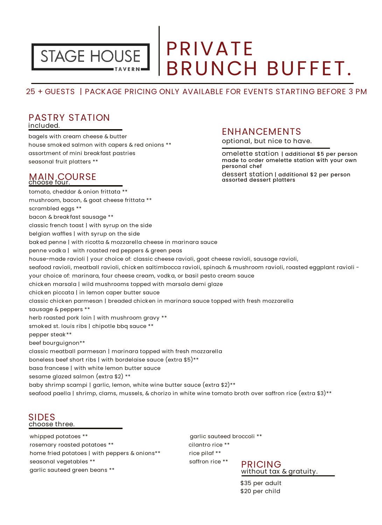

### PRIVATE BRUNCH BUFFET.

#### 25 + GUESTS | PACKAGE PRICING ONLY AVAILABLE FOR EVENTS STARTING BEFORE 3 PM

#### PASTRY STATION

included.

bagels with cream cheese & butter house smok ed salmon with capers & red onions \*\* assortment of mini break fast pastries seasonal fruit platters \*\*

### MAIN COURSE

#### **ENHANCEMENTS**

optional, but nice to have.

omelette station | additional \$5 per person dessert station | additional \$2 per person made to order omelette station with your own personal chef assorted dessert platters

tomato, cheddar & onion frittata \*\* mushroom, bacon, & goat cheese frittata \*\* scrambled eggs \*\* bacon & break fast sausage \*\* classic french toast | with syrup on the side belgian waffles | with syrup on the side bak ed penne | with ricotta & mozzarella cheese in marinara sauce penne vodk a | with roasted red peppers & green peas house-made ravioli | your choice of: classic cheese ravioli, goat cheese ravioli, sausage ravioli, seafood ravioli, meatball ravioli, chicken saltimbocca ravioli, spinach & mushroom ravioli, roasted eggplant ravioli your choice of: marinara, four cheese cream, vodk a, or basil pesto cream sauce chick en marsala | wild mushrooms topped with marsala demi glaze chick en piccata | in lemon caper butter sauce classic chick en parmesan | breaded chick en in marinara sauce topped with fresh mozzarella sausage & peppers \*\* herb roasted pork loin | with mushroom gravy \*\* smok ed st. louis ribs | chipotle bbq sauce \*\* pepper steak \*\* beef bourguignon\*\* classic meatball parmesan | marinara topped with fresh mozzarella boneless beef short ribs | with bordelaise sauce (extra \$5)\*\* basa francese | with white lemon butter sauce sesame glazed salmon (extra \$2) \*\* baby shrimp scampi | garlic, lemon, white wine butter sauce (extra \$2)\*\*

seafood paella | shrimp, clams, mussels, & chorizo in white wine tomato broth over saffron rice (extra \$3)\*\*

SIDES choose three.

whipped potatoes \*\* example and the same series of the same series of the same series of the same series of the s rosemary roasted potatoes \*\* cilantro rice \*\* home fried potatoes | with peppers & onions\*\* rice pilaf \*\* seasonal vegetables \*\* saffron rice \*\* garlic sauteed green beans \*\*



\$35 per adult \$20 per child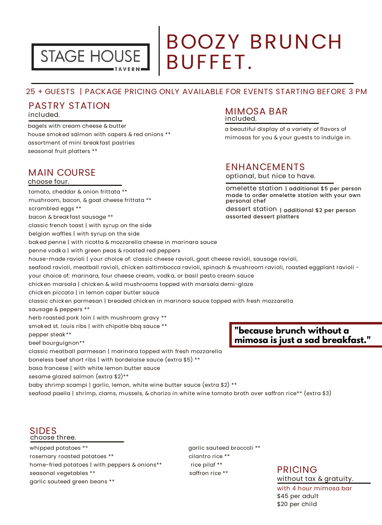

### BOOZY BRUNCH BUFFET.

#### 25 + GUESTS | PACKAGE PRICING ONLY AVAILABLE FOR EVENTS STARTING BEFORE 3 PM

#### PASTRY STATION

included.

bagels with cream cheese & butter house smok ed salmon with capers & red onions \*\* assortment of mini break fast pastries seasonal fruit platters \*\*

#### MAIN COURSE

#### choose four.

#### MIMOSA BAR included.

a beautiful display of a variety of flavors of mimosas for you & your guests to indulge in.

#### ENHANCEMENTS

optional, but nice to have.

dessert station | additional \$2 per person omelette station | additional \$5 per person made to order omelette station with your own personal chef assorted dessert platters

**"because brunch without a mimosa is just a sad breakfast."** tomato, cheddar & onion frittata \*\* mushroom, bacon, & goat cheese frittata \*\* scrambled eggs \*\* bacon & break fast sausage \*\* classic french toast | with syrup on the side belgian waffles | with syrup on the side bak ed penne | with ricotta & mozzarella cheese in marinara sauce penne vodk a | with green peas & roasted red peppers house-made ravioli | your choice of: classic cheese ravioli, goat cheese ravioli, sausage ravioli, seafood ravioli, meatball ravioli, chicken saltimbocca ravioli, spinach & mushroom ravioli, roasted eggplant ravioli your choice of: marinara, four cheese cream, vodk a, or basil pesto cream sauce chick en marsala | chick en & wild mushrooms topped with marsala demi-glaze chick en piccata | in lemon caper butter sauce classic chick en parmesan | breaded chick en in marinara sauce topped with fresh mozzarella sausage & peppers \*\* herb roasted pork loin | with mushroom gravy \*\* smok ed st. louis ribs | with chipotle bbq sauce \*\* pepper steak \*\* beef bourguignon\*\* classic meatball parmesan | marinara topped with fresh mozzarella boneless beef short ribs | with bordelaise sauce (extra \$5) \*\* basa francese | with white lemon butter sauce

sesame glazed salmon (extra \$2)\*\*

baby shrimp scampi | garlic, lemon, white wine butter sauce (extra \$2) \*\*

seafood paella | shrimp, clams, mussels, & chorizo in white wine tomato broth over saffron rice\*\* (extra \$3)

#### SIDES choose three.

whipped potatoes \*\* example and the same series of the same series of the same series of the same series of the same series of the same series of the same series of the same series of the same series of the same series of rosemary roasted potatoes \*\* cilantro rice \*\* home-fried potatoes | with peppers & onions\*\* rice pilaf \*\* seasonal vegetables  $^{**}$  saffron rice  $^{**}$ garlic sauteed green beans \*\*

#### PRICING without tax & gratuity.

with 4 hour mimosa bar \$45 per adult \$20 per child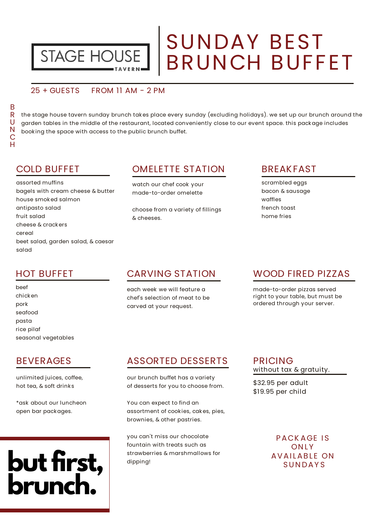

### SUNDAY BEST BRUNCH BUFFET

#### 25 + GUESTS FROM 11 AM - 2 PM

the stage house tavern sunday brunch takes place every sunday (excluding holidays). we set up our brunch around the garden tables in the middle of the restaurant, located conveniently close to our event space. this pack age includes book ing the space with access to the public brunch buffet.

#### COLD BUFFET

assorted muffins bagels with cream cheese & butter house smok ed salmon antipasto salad fruit salad cheese & crack ers cereal beet salad, garden salad, & caesar salad

#### OMELETTE STATION

watch our chef cook your made-to-order omelette

choose from a variety of fillings & cheeses.

#### BREAKFAST

scrambled eggs bacon & sausage waffles french toast home fries

#### HOT BUFFET

beef chick en pork seafood pasta rice pilaf seasonal vegetables

#### BEVERAGES

unlimited juices, coffee, hot tea, & soft drink s

\*ask about our luncheon open bar pack ages.

# **but first, brunch.**

#### CARVING STATION

each week we will feature a chef's selection of meat to be carved at your request.

#### WOOD FIRED PIZZAS

made-to-order pizzas served right to your table, but must be ordered through your server.

#### ASSORTED DESSERTS

our brunch buffet has a variety of desserts for you to choose from.

You can expect to find an assortment of cook ies, cak es, pies, brownies, & other pastries.

you can't miss our chocolate fountain with treats such as strawberries & marshmallows for dipping!

#### PRICING without tax & gratuity.

\$32.95 per adult \$19.95 per child

> PACK AGE IS ON L Y **AVAILABLE ON SUNDAYS**

R U N C H

B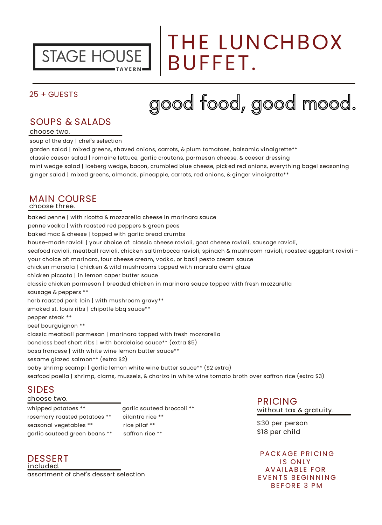

### THE LUNCHBOX BUFFET.

#### 25 + GUESTS

# good food, good mood.

#### SOUPS & SALADS

choose two.

soup of the day | chef's selection

garden salad | mixed greens, shaved onions, carrots, & plum tomatoes, balsamic vinaigrette\*\*

classic caesar salad | romaine lettuce, garlic croutons, parmesan cheese, & caesar dressing

mini wedge salad | iceberg wedge, bacon, crumbled blue cheese, pick ed red onions, everything bagel seasoning ginger salad | mixed greens, almonds, pineapple, carrots, red onions, & ginger vinaigrette\*\*

#### MAIN COURSE choose three.

bak ed penne | with ricotta & mozzarella cheese in marinara sauce penne vodk a | with roasted red peppers & green peas bak ed mac & cheese | topped with garlic bread crumbs house-made ravioli | your choice of: classic cheese ravioli, goat cheese ravioli, sausage ravioli, seafood ravioli, meatball ravioli, chicken saltimbocca ravioli, spinach & mushroom ravioli, roasted eggplant ravioli your choice of: marinara, four cheese cream, vodk a, or basil pesto cream sauce chick en marsala | chick en & wild mushrooms topped with marsala demi glaze chick en piccata | in lemon caper butter sauce classic chick en parmesan | breaded chick en in marinara sauce topped with fresh mozzarella sausage & peppers \*\* herb roasted pork loin | with mushroom gravy\*\* smok ed st. louis ribs | chipotle bbq sauce\*\* pepper steak \*\* beef bourguignon \*\* classic meatball parmesan | marinara topped with fresh mozzarella boneless beef short ribs | with bordelaise sauce\*\* (extra \$5) basa francese | with white wine lemon butter sauce\*\* sesame glazed salmon\*\* (extra \$2) baby shrimp scampi | garlic lemon white wine butter sauce\*\* (\$2 extra) seafood paella | shrimp, clams, mussels, & chorizo in white wine tomato broth over saffron rice (extra \$3)

#### SIDES

#### choose two.

whipped potatoes \*\* garlic sauteed broccoli \*\* rosemary roasted potatoes \*\* cilantro rice \*\* seasonal vegetables \*\* rice pilaf \*\* garlic sauteed green beans \*\* saffron rice \*\*

DESSERT PACK AGE PRICING included. assortment of chef's dessert selection

PRICING without tax & gratuity.

\$30 per person \$18 per child

**IS ONLY AVAILABLE FOR EVENTS BEGINNING** BEFORE 3 PM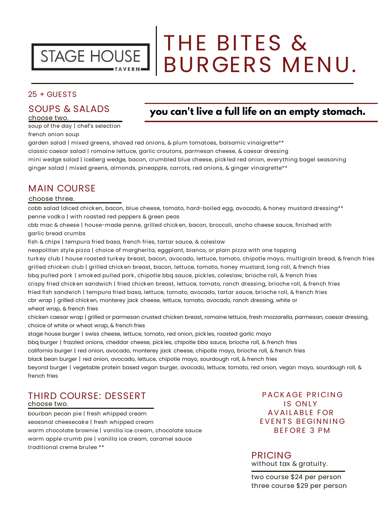

# THE BITES & BURGERS MENU.

#### 25 + GUESTS

#### SOUPS & SALADS

#### choose two.

#### **you can't live a full life on an empty stomach.**

soup of the day | chef's selection french onion soup

garden salad | mixed greens, shaved red onions, & plum tomatoes, balsamic vinaigrette\*\* classic caesar salad | romaine lettuce, garlic croutons, parmesan cheese, & caesar dressing mini wedge salad | iceberg wedge, bacon, crumbled blue cheese, pick led red onion, everything bagel seasoning ginger salad | mixed greens, almonds, pineapple, carrots, red onions, & ginger vinaigrette\*\*

#### MAIN COURSE

#### choose three.

cobb salad |diced chicken, bacon, blue cheese, tomato, hard-boiled egg, avocado, & honey mustard dressing\*\* penne vodka | with roasted red peppers & green peas

cbb mac & cheese | house-made penne, grilled chicken, bacon, broccoli, ancho cheese sauce, finished with garlic bread crumbs

fish & chips | tempura fried basa, french fries, tartar sauce, & coleslaw

neapolitan style pizza | choice of margherita, eggplant, bianco, or plain pizza with one topping turkey club | house roasted turkey breast, bacon, avocado, lettuce, tomato, chipotle mayo, multigrain bread, & french fries grilled chicken club | grilled chicken breast, bacon, lettuce, tomato, honey mustard, long roll, & french fries bbq pulled pork | smoked pulled pork, chipotle bbq sauce, pickles, coleslaw, brioche roll, & french fries crispy fried chicken sandwich | fried chicken breast, lettuce, tomato, ranch dressing, brioche roll, & french fries fried fish sandwich | tempura fried basa, lettuce, tomato, avocado, tartar sauce, brioche roll, & french fries cbr wrap | grilled chicken, monterey jack cheese, lettuce, tomato, avocado, ranch dressing, white or wheat wrap, & french fries

chicken caesar wrap | grilled or parmesan crusted chicken breast, romaine lettuce, fresh mozzarella, parmesan, caesar dressing, choice of white or wheat wrap, & french fries

stage house burger | swiss cheese, lettuce, tomato, red onion, pick les, roasted garlic mayo

bbq burger | frazzled onions, cheddar cheese, pick les, chipotle bba sauce, brioche roll, & french fries

california burger | red onion, avocado, monterey jack cheese, chipotle mayo, brioche roll, & french fries

black bean burger | red onion, avocado, lettuce, chipotle mayo, sourdough roll, & french fries

beyond burger | vegetable protein based vegan burger, avocado, lettuce, tomato, red onion, vegan mayo, sourdough roll, & french fries

#### THIRD COURSE: DESSERT

choose two.

bourban pecan pie | fresh whipped cream seasonal cheesecake | fresh whipped cream warm chocolate brownie | vanilla ice cream, chocolate sauce warm apple crumb pie | vanilla ice cream, caramel sauce traditional creme brulee \*\*

PACK AGE PRICING **IS ONLY** AVAILABLE FOR **EVENTS BEGINNING** BEFORE 3 PM

PRICING without tax & gratuity.

two course \$24 per person three course \$29 per person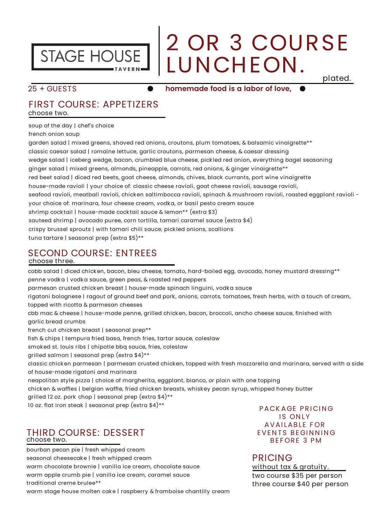

# 2 OR 3 COURSE LUNCHEON.

plated.

#### $25 +$  GUESTS

#### **homemade food is a labor of love,**

#### FIRST COURSE: APPETIZERS choose two.

soup of the day | chef's choice

french onion soup

garden salad | mixed greens, shaved red onions, croutons, plum tomatoes, & balsamic vinaigrette\*\* classic caesar salad | romaine lettuce, garlic croutons, parmesan cheese, & caesar dressing wedge salad | iceberg wedge, bacon, crumbled blue cheese, pick led red onion, everything bagel seasoning ginger salad | mixed greens, almonds, pineapple, carrots, red onions, & ginger vinaigrette\*\* red beet salad | diced red beets, goat cheese, almonds, chives, black currants, port wine vinaigrette house-made ravioli | your choice of: classic cheese ravioli, goat cheese ravioli, sausage ravioli, seafood ravioli, meatball ravioli, chicken saltimbocca ravioli, spinach & mushroom ravioli, roasted eggplant ravioli your choice of: marinara, four cheese cream, vodk a, or basil pesto cream sauce shrimp cock tail | house-made cock tail sauce & lemon\*\* (extra \$3) sauteed shrimp | avocado puree, corn tortilla, tamari caramel sauce (extra \$4) crispy brussel sprouts | with tamari chili sauce, pick led onions, scallions tuna tartare | seasonal prep (extra \$5)\*\*

#### SECOND COURSE: ENTREES

#### choose three.

cobb salad | diced chick en, bacon, bleu cheese, tomato, hard-boiled egg, avocado, honey mustard dressing\*\* penne vodk a | vodk a sauce, green peas, & roasted red peppers

parmesan crusted chick en breast | house-made spinach linguini, vodk a sauce

rigatoni bolognese | ragout of ground beef and pork, onions, carrots, tomatoes, fresh herbs, with a touch of cream, topped with ricotta & parmesan cheeses

cbb mac & cheese | house-made penne, grilled chick en, bacon, broccoli, ancho cheese sauce, finished with garlic bread crumbs

french cut chick en breast | seasonal prep\*\*

fish & chips | tempura fried basa, french fries, tartar sauce, coleslaw

smok ed st. louis ribs | chipotle bbq sauce, fries, coleslaw

grilled salmon | seasonal prep (extra \$4)\*\*

classic chick en parmesan | parmesan crusted chick en, topped with fresh mozzarella and marinara, served with a side of house-made rigatoni and marinara

neapolitan style pizza | choice of margherita, eggplant, bianco, or plain with one topping

chick en & waffles | belgian waffle, fried chick en breasts, whisk ey pecan syrup, whipped honey butter grilled 12 oz. pork chop | seasonal prep (extra \$4)\*\*

10 oz. flat iron steak | seasonal prep (extra \$4)\*\*

#### THIRD COURSE: DESSERT choose two.

bourban pecan pie | fresh whipped cream seasonal cheesecak e | fresh whipped cream warm chocolate brownie | vanilla ice cream, chocolate sauce warm apple crumb pie | vanilla ice cream, caramel sauce traditional creme brulee\*\* warm stage house molten cake | raspberry & framboise chantilly cream

PACK AGE PRICING **IS ONLY** AVAILABLE FOR **EVENTS BEGINNING** BEFORE 3 PM

#### PRICING

two course \$35 per person three course \$40 per person without tax & gratuity.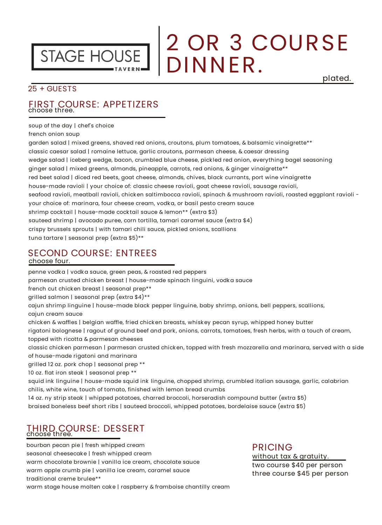

### 2 OR 3 COURSE DINNER. plated.

#### 25 + GUESTS

#### FIRST COURSE: APPETIZERS choose three.

soup of the day | chef's choice

french onion soup

garden salad | mixed greens, shaved red onions, croutons, plum tomatoes, & balsamic vinaigrette\*\* classic caesar salad | romaine lettuce, garlic croutons, parmesan cheese, & caesar dressing wedge salad | iceberg wedge, bacon, crumbled blue cheese, pick led red onion, everything bagel seasoning ginger salad | mixed greens, almonds, pineapple, carrots, red onions, & ginger vinaigrette\*\* red beet salad | diced red beets, goat cheese, almonds, chives, black currants, port wine vinaigrette house-made ravioli | your choice of: classic cheese ravioli, goat cheese ravioli, sausage ravioli, seafood ravioli, meatball ravioli, chicken saltimbocca ravioli, spinach & mushroom ravioli, roasted eggplant ravioli your choice of: marinara, four cheese cream, vodk a, or basil pesto cream sauce shrimp cock tail | house-made cock tail sauce & lemon\*\* (extra \$3) sauteed shrimp | avocado puree, corn tortilla, tamari caramel sauce (extra \$4) crispy brussels sprouts | with tamari chili sauce, pick led onions, scallions tuna tartare | seasonal prep (extra \$5)\*\*

#### SECOND COURSE: ENTREES

#### choose four.

penne vodk a | vodk a sauce, green peas, & roasted red peppers

parmesan crusted chick en breast | house-made spinach linguini, vodk a sauce

french cut chick en breast | seasonal prep\*\*

grilled salmon | seasonal prep (extra \$4)\*\*

cajun shrimp linguine | house-made black pepper linguine, baby shrimp, onions, bell peppers, scallions, cajun cream sauce

chick en & waffles | belgian waffle, fried chick en breasts, whisk ey pecan syrup, whipped honey butter

rigatoni bolognese | ragout of ground beef and pork , onions, carrots, tomatoes, fresh herbs, with a touch of cream, topped with ricotta & parmesan cheeses

classic chick en parmesan | parmesan crusted chick en, topped with fresh mozzarella and marinara, served with a side of house-made rigatoni and marinara

grilled 12 oz. pork chop | seasonal prep \*\*

10 oz. flat iron steak | seasonal prep \*\*

squid ink linguine | house-made squid ink linguine, chopped shrimp, crumbled italian sausage, garlic, calabrian chilis, white wine, touch of tomato, finished with lemon bread crumbs

14 oz. ny strip steak | whipped potatoes, charred broccoli, horseradish compound butter (extra \$5)

braised boneless beef short ribs | sauteed broccoli, whipped potatoes, bordelaise sauce (extra \$5)

### THIRD COURSE: DESSERT choose three.

bourban pecan pie | fresh whipped cream seasonal cheesecak e | fresh whipped cream warm chocolate brownie | vanilla ice cream, chocolate sauce warm apple crumb pie | vanilla ice cream, caramel sauce traditional creme brulee\*\* warm stage house molten cak e | raspberry & framboise chantilly cream

#### PRICING

two course \$40 per person three course \$45 per person without tax & gratuity.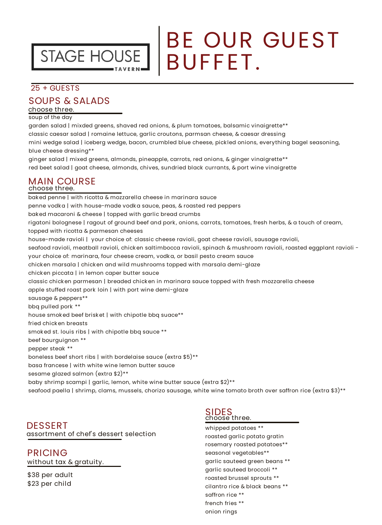

# BE OUR GUEST BUFFET.

#### 25 + GUESTS

#### SOUPS & SALADS

choose three.

soup of the day

garden salad | mixded greens, shaved red onions, & plum tomatoes, balsamic vinaigrette\*\* classic caesar salad | romaine lettuce, garlic croutons, parmsan cheese, & caesar dressing mini wedge salad | iceberg wedge, bacon, crumbled blue cheese, pick led onions, everything bagel seasoning, blue cheese dressing\*\*

ginger salad | mixed greens, almonds, pineapple, carrots, red onions, & ginger vinaigrette\*\* red beet salad | goat cheese, almonds, chives, sundried black currants, & port wine vinaigrette

#### MAIN COURSE choose three.

bak ed penne | with ricotta & mozzarella cheese in marinara sauce penne vodk a | with house-made vodk a sauce, peas, & roasted red peppers bak ed macaroni & cheese | topped with garlic bread crumbs rigatoni bolognese | ragout of ground beef and pork , onions, carrots, tomatoes, fresh herbs, & a touch of cream, topped with ricotta & parmesan cheeses house-made ravioli | your choice of: classic cheese ravioli, goat cheese ravioli, sausage ravioli, seafood ravioli, meatball ravioli, chicken saltimbocca ravioli, spinach & mushroom ravioli, roasted eggplant ravioli your choice of: marinara, four cheese cream, vodk a, or basil pesto cream sauce chick en marsala | chick en and wild mushrooms topped with marsala demi-glaze chick en piccata | in lemon caper butter sauce classic chick en parmesan | breaded chick en in marinara sauce topped with fresh mozzarella cheese apple stuffed roast pork loin | with port wine demi-glaze sausage & peppers\*\* bbq pulled pork \*\* house smoked beef brisket | with chipotle bbq suace\*\* fried chick en breasts smok ed st. louis ribs | with chipotle bbq sauce \*\* beef bourguignon \*\* pepper steak \*\* boneless beef short ribs | with bordelaise sauce (extra \$5)\*\* basa francese | with white wine lemon butter sauce sesame glazed salmon (extra \$2)\*\* baby shrimp scampi | garlic, lemon, white wine butter sauce (extra \$2)\*\* seafood paella | shrimp, clams, mussels, chorizo sausage, white wine tomato broth over saffron rice (extra \$3)\*\*

#### DESSERT assortment of chef's dessert selection

PRICING without tax & gratuity.

\$38 per adult \$23 per child

### SIDES<br>choose three.

whipped potatoes \*\* roasted garlic potato gratin rosemary roasted potatoes\*\* seasonal vegetables\*\* garlic sauteed green beans \*\* garlic sauteed broccoli \*\* roasted brussel sprouts \*\* cilantro rice & black beans \*\* saffron rice \*\* french fries \*\* onion rings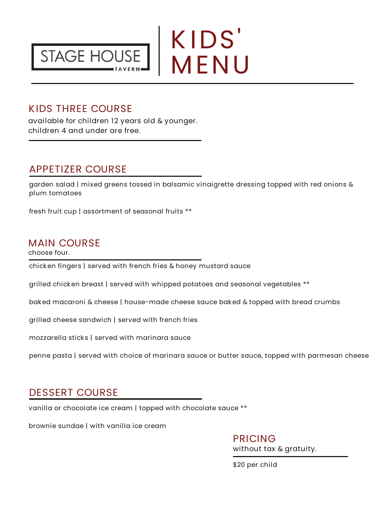



#### KIDS THREE COURSE

available for children 12 years old & younger. children 4 and under are free.

#### APPETIZER COURSE

garden salad | mixed greens tossed in balsamic vinaigrette dressing topped with red onions & plum tomatoes

fresh fruit cup | assortment of seasonal fruits \*\*

#### MAIN COURSE

choose four.

chick en fingers | served with french fries & honey mustard sauce

grilled chick en breast | served with whipped potatoes and seasonal vegetables \*\*

bak ed macaroni & cheese | house-made cheese sauce bak ed & topped with bread crumbs

grilled cheese sandwich | served with french fries

mozzarella stick s | served with marinara sauce

penne pasta | served with choice of marinara sauce or butter sauce, topped with parmesan cheese

#### DESSERT COURSE

vanilla or chocolate ice cream | topped with chocolate sauce \*\*

brownie sundae | with vanilla ice cream

PRICING without tax & gratuity.

\$20 per child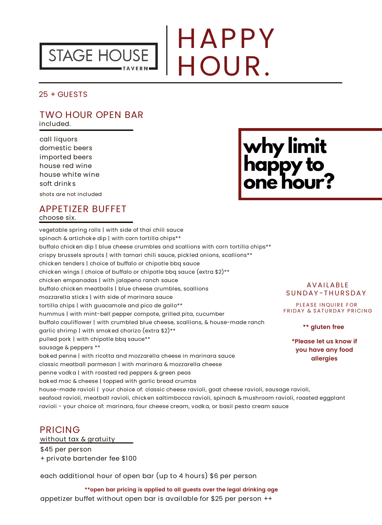

# HAPPY HOUR.

25 + GUESTS

#### TWO HOUR OPEN BAR included.

call liquors domestic beers imported beers house red wine house white wine soft drink s

shots are not included

### **why limit happy to one hour?**

#### APPETIZER BUFFET choose six.

vegetable spring rolls | with side of thai chili sauce spinach & artichoke dip | with corn tortilla chips\*\* buffalo chick en dip | blue cheese crumbles and scallions with corn tortilla chips\*\* crispy brussels sprouts | with tamari chili sauce, pick led onions, scallions\*\* chick en tenders | choice of buffalo or chipotle bbq sauce chick en wings | choice of buffalo or chipotle bbq sauce (extra \$2)\*\* chick en empanadas | with jalapeno ranch sauce buffalo chick en meatballs | blue cheese crumbles, scallions mozzarella stick s | with side of marinara sauce tortilla chips | with guacamole and pico de gallo\*\* hummus | with mint-bell pepper compote, grilled pita, cucumber buffalo cauliflower | with crumbled blue cheese, scallions, & house-made ranch garlic shrimp | with smok ed chorizo (extra \$2)\*\* pulled pork | with chipotle bbq sauce\*\* sausage & peppers \*\* bak ed penne | with ricotta and mozzarella cheese in marinara sauce classic meatball parmesan | with marinara & mozzarella cheese penne vodk a | with roasted red peppers & green peas bak ed mac & cheese | topped with garlic bread crumbs house-made ravioli | your choice of: classic cheese ravioli, goat cheese ravioli, sausage ravioli, seafood ravioli, meatball ravioli, chick en saltimbocca ravioli, spinach & mushroom ravioli, roasted eggplant ravioli - your choice of: marinara, four cheese cream, vodk a, or basil pesto cream sauce

#### **AVAILABLE** SUNDAY-THURSDAY

PLEASE INQUIRE FOR FRIDAY & SATURDAY PRICING

**\*\* gluten free**

**\*Please let us know if you have any food allergies**

#### PRICING

without tax & gratuity \$45 per person + private bartender fee \$100

each additional hour of open bar (up to 4 hours) \$6 per person

appetizer buffet without open bar is available for \$25 per person ++ **\*\*open bar pricing is applied to all guests over the legal drinking age**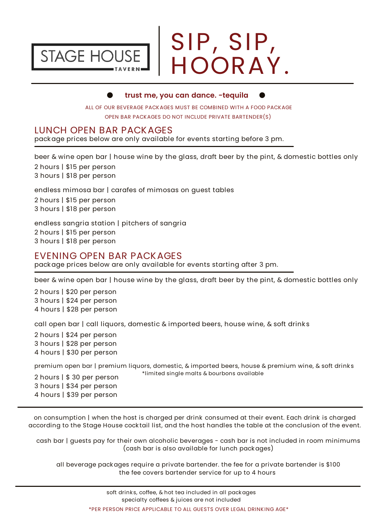

# SIP, SIP, HOORAY.

#### **trust me, you can dance. -tequila**

ALL OF OUR BEVERAGE PACKAGES MUST BE COMBINED WITH A FOOD PACKAGE OPEN BAR PACKAGES DO NOT INCLUDE PRIVATE BARTENDER(S)

#### LUNCH OPEN BAR PACKAGES

pack age prices below are only available for events starting before 3 pm.

beer & wine open bar | house wine by the glass, draft beer by the pint, & domestic bottles only

2 hours | \$15 per person 3 hours | \$18 per person

endless mimosa bar | carafes of mimosas on guest tables

2 hours | \$15 per person 3 hours | \$18 per person

endless sangria station | pitchers of sangria 2 hours | \$15 per person 3 hours | \$18 per person

#### EVENING OPEN BAR PACKAGES

pack age prices below are only available for events starting after 3 pm.

beer & wine open bar | house wine by the glass, draft beer by the pint, & domestic bottles only

2 hours | \$20 per person 3 hours | \$24 per person 4 hours | \$28 per person

call open bar | call liquors, domestic & imported beers, house wine, & soft drinks

2 hours | \$24 per person 3 hours | \$28 per person 4 hours | \$30 per person

premium open bar | premium liquors, domestic, & imported beers, house & premium wine, & soft drink s \*limited single malts & bourbons available

2 hours | \$ 30 per person 3 hours | \$34 per person 4 hours | \$39 per person

on consumption | when the host is charged per drink consumed at their event. Each drink is charged according to the Stage House cock tail list, and the host handles the table at the conclusion of the event.

cash bar | guests pay for their own alcoholic beverages - cash bar is not included in room minimums (cash bar is also available for lunch pack ages)

all beverage pack ages require a private bartender. the fee for a private bartender is \$100 the fee covers bartender service for up to 4 hours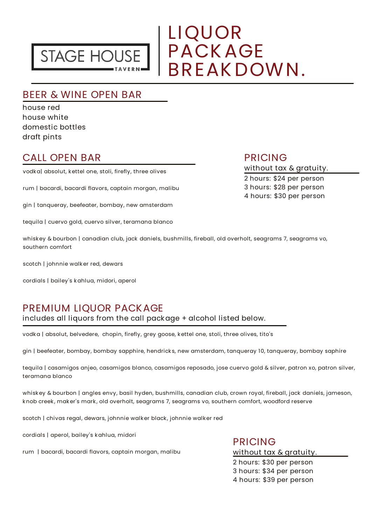

### LIQUOR EIQUUN<br>PACK AGE<br>RPEAK DOU BREAK DOWN.

#### BEER & WINE OPEN BAR

house red house white domestic bottles draft pints

#### CALL OPEN BAR

vodk a| absolut, k ettel one, stoli, firefly, three olives

rum | bacardi, bacardi flavors, captain morgan, malibu

gin | tanqueray, beefeater, bombay, new amsterdam

tequila | cuervo gold, cuervo silver, teramana blanco

whisk ey & bourbon | canadian club, jack daniels, bushmills, fireball, old overholt, seagrams 7, seagrams vo, southern comfort

scotch | johnnie walk er red, dewars

cordials | bailey's k ahlua, midori, aperol

#### PREMIUM LIQUOR PACKAGE

includes all liquors from the call pack age + alcohol listed below.

vodka | absolut, belvedere, chopin, firefly, grey goose, kettel one, stoli, three olives, tito's

gin | beefeater, bombay, bombay sapphire, hendrick s, new amsterdam, tanqueray 10, tanqueray, bombay saphire

tequila | casamigos anjeo, casamigos blanco, casamigos reposado, jose cuervo gold & silver, patron xo, patron silver, teramana blanco

whiskey & bourbon | angles envy, basil hyden, bushmills, canadian club, crown royal, fireball, jack daniels, jameson, k nob creek , mak er's mark , old overholt, seagrams 7, seagrams vo, southern comfort, woodford reserve

scotch | chivas regal, dewars, johnnie walk er black , johnnie walk er red

cordials | aperol, bailey's k ahlua, midori

rum | bacardi, bacardi flavors, captain morgan, malibu

PRICING without tax & gratuity. 2 hours: \$30 per person 3 hours: \$34 per person 4 hours: \$39 per person

#### PRICING

without tax & gratuity.

2 hours: \$24 per person 3 hours: \$28 per person 4 hours: \$30 per person